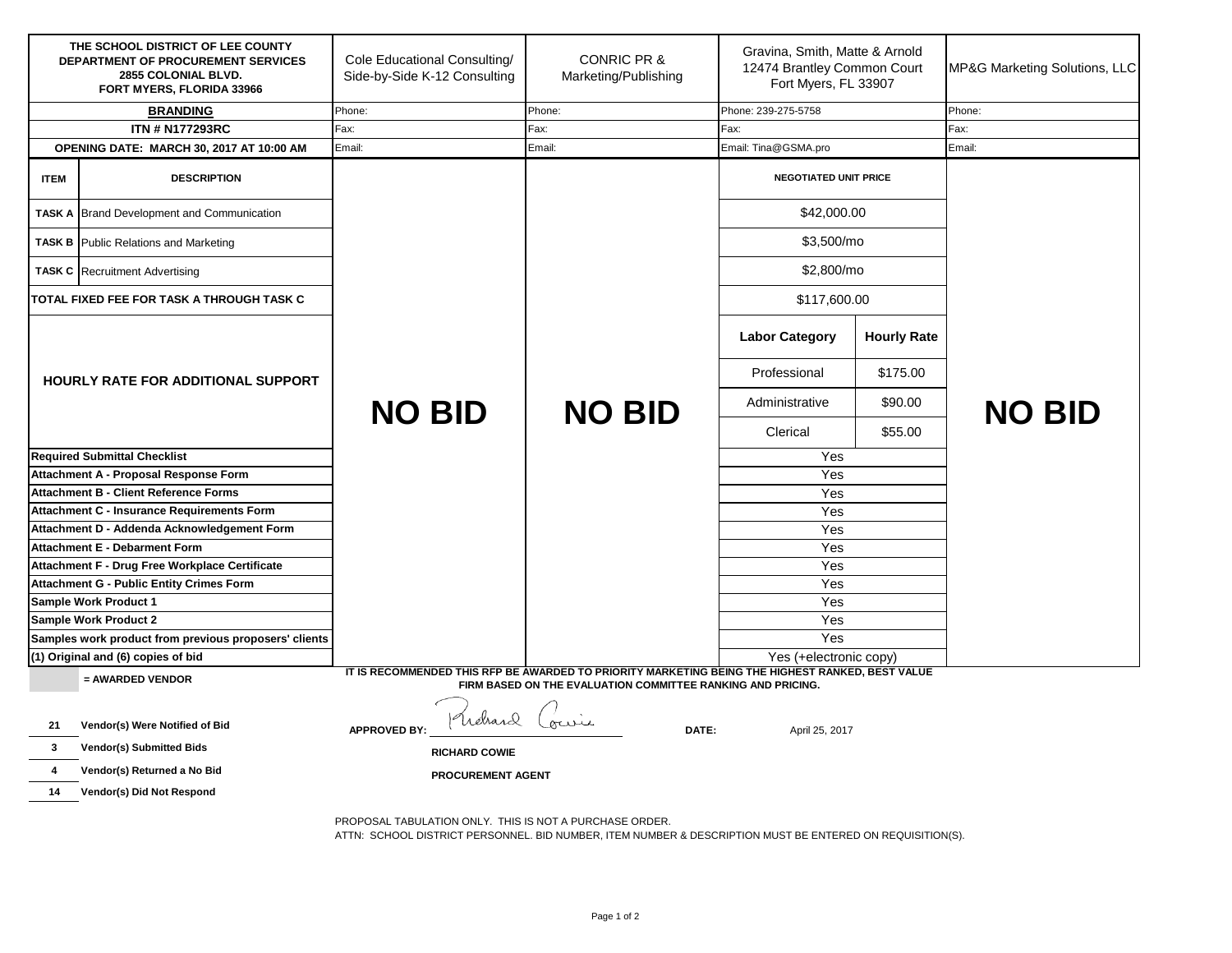| THE SCHOOL DISTRICT OF LEE COUNTY<br>DEPARTMENT OF PROCUREMENT SERVICES<br>2855 COLONIAL BLVD.<br>FORT MYERS, FLORIDA 33966                                                         |                                                                   | Cole Educational Consulting/<br>Side-by-Side K-12 Consulting | <b>CONRIC PR &amp;</b><br>Marketing/Publishing | Gravina, Smith, Matte & Arnold<br>12474 Brantley Common Court<br>Fort Myers, FL 33907 |                    | MP&G Marketing Solutions, LLC |  |
|-------------------------------------------------------------------------------------------------------------------------------------------------------------------------------------|-------------------------------------------------------------------|--------------------------------------------------------------|------------------------------------------------|---------------------------------------------------------------------------------------|--------------------|-------------------------------|--|
| <b>BRANDING</b>                                                                                                                                                                     |                                                                   | Phone:                                                       | Phone:                                         | Phone: 239-275-5758                                                                   |                    | Phone:                        |  |
| <b>ITN # N177293RC</b>                                                                                                                                                              |                                                                   | Fax:                                                         | Fax:                                           | Fax:                                                                                  |                    | Fax:                          |  |
|                                                                                                                                                                                     | OPENING DATE: MARCH 30, 2017 AT 10:00 AM                          | Email:                                                       | Email:                                         | Email: Tina@GSMA.pro                                                                  |                    | Email:                        |  |
| <b>ITEM</b>                                                                                                                                                                         | <b>DESCRIPTION</b>                                                |                                                              |                                                | <b>NEGOTIATED UNIT PRICE</b>                                                          |                    |                               |  |
|                                                                                                                                                                                     | <b>TASK A Brand Development and Communication</b>                 |                                                              |                                                | \$42,000.00                                                                           |                    |                               |  |
|                                                                                                                                                                                     | <b>TASK B</b> Public Relations and Marketing                      |                                                              |                                                | \$3,500/mo                                                                            |                    |                               |  |
|                                                                                                                                                                                     | <b>TASK C</b> Recruitment Advertising                             |                                                              |                                                | \$2,800/mo                                                                            |                    |                               |  |
|                                                                                                                                                                                     | TOTAL FIXED FEE FOR TASK A THROUGH TASK C                         |                                                              |                                                | \$117,600.00                                                                          |                    |                               |  |
| <b>HOURLY RATE FOR ADDITIONAL SUPPORT</b>                                                                                                                                           |                                                                   |                                                              | <b>NO BID</b>                                  | <b>Labor Category</b>                                                                 | <b>Hourly Rate</b> |                               |  |
|                                                                                                                                                                                     |                                                                   | <b>NO BID</b>                                                |                                                | Professional                                                                          | \$175.00           | <b>NO BID</b>                 |  |
|                                                                                                                                                                                     |                                                                   |                                                              |                                                | Administrative                                                                        | \$90.00            |                               |  |
|                                                                                                                                                                                     |                                                                   |                                                              |                                                | Clerical                                                                              | \$55.00            |                               |  |
| <b>Required Submittal Checklist</b>                                                                                                                                                 |                                                                   |                                                              |                                                | Yes                                                                                   |                    |                               |  |
|                                                                                                                                                                                     | Attachment A - Proposal Response Form                             |                                                              |                                                |                                                                                       |                    |                               |  |
| <b>Attachment B - Client Reference Forms</b>                                                                                                                                        |                                                                   |                                                              |                                                |                                                                                       |                    |                               |  |
|                                                                                                                                                                                     | <b>Attachment C - Insurance Requirements Form</b>                 |                                                              |                                                | Yes<br>Yes                                                                            |                    |                               |  |
| Attachment D - Addenda Acknowledgement Form                                                                                                                                         |                                                                   |                                                              |                                                | Yes                                                                                   |                    |                               |  |
|                                                                                                                                                                                     | <b>Attachment E - Debarment Form</b>                              |                                                              |                                                | Yes                                                                                   |                    |                               |  |
|                                                                                                                                                                                     | Attachment F - Drug Free Workplace Certificate                    |                                                              |                                                | Yes                                                                                   |                    |                               |  |
|                                                                                                                                                                                     | <b>Attachment G - Public Entity Crimes Form</b>                   |                                                              |                                                | Yes                                                                                   |                    |                               |  |
|                                                                                                                                                                                     | Sample Work Product 1                                             |                                                              |                                                | Yes                                                                                   |                    |                               |  |
|                                                                                                                                                                                     | Sample Work Product 2                                             |                                                              |                                                | Yes                                                                                   |                    |                               |  |
| Samples work product from previous proposers' clients                                                                                                                               |                                                                   |                                                              |                                                | Yes                                                                                   |                    |                               |  |
|                                                                                                                                                                                     | (1) Original and (6) copies of bid                                |                                                              |                                                | Yes (+electronic copy)                                                                |                    |                               |  |
| IT IS RECOMMENDED THIS RFP BE AWARDED TO PRIORITY MARKETING BEING THE HIGHEST RANKED, BEST VALUE<br>= AWARDED VENDOR<br>FIRM BASED ON THE EVALUATION COMMITTEE RANKING AND PRICING. |                                                                   |                                                              |                                                |                                                                                       |                    |                               |  |
| 21<br>3                                                                                                                                                                             | Vendor(s) Were Notified of Bid<br><b>Vendor(s) Submitted Bids</b> | Welsard<br><b>APPROVED BY:</b><br><b>RICHARD COWIE</b>       | our<br>DATE:                                   | April 25, 2017                                                                        |                    |                               |  |
| 4                                                                                                                                                                                   | Vendor(s) Returned a No Bid                                       | <b>PROCUREMENT AGENT</b>                                     |                                                |                                                                                       |                    |                               |  |
| 14                                                                                                                                                                                  | Vendor(s) Did Not Respond                                         |                                                              |                                                |                                                                                       |                    |                               |  |
|                                                                                                                                                                                     |                                                                   |                                                              |                                                |                                                                                       |                    |                               |  |
|                                                                                                                                                                                     |                                                                   | PROPOSAL TABULATION ONLY. THIS IS NOT A PURCHASE ORDER.      |                                                |                                                                                       |                    |                               |  |

ATTN: SCHOOL DISTRICT PERSONNEL. BID NUMBER, ITEM NUMBER & DESCRIPTION MUST BE ENTERED ON REQUISITION(S).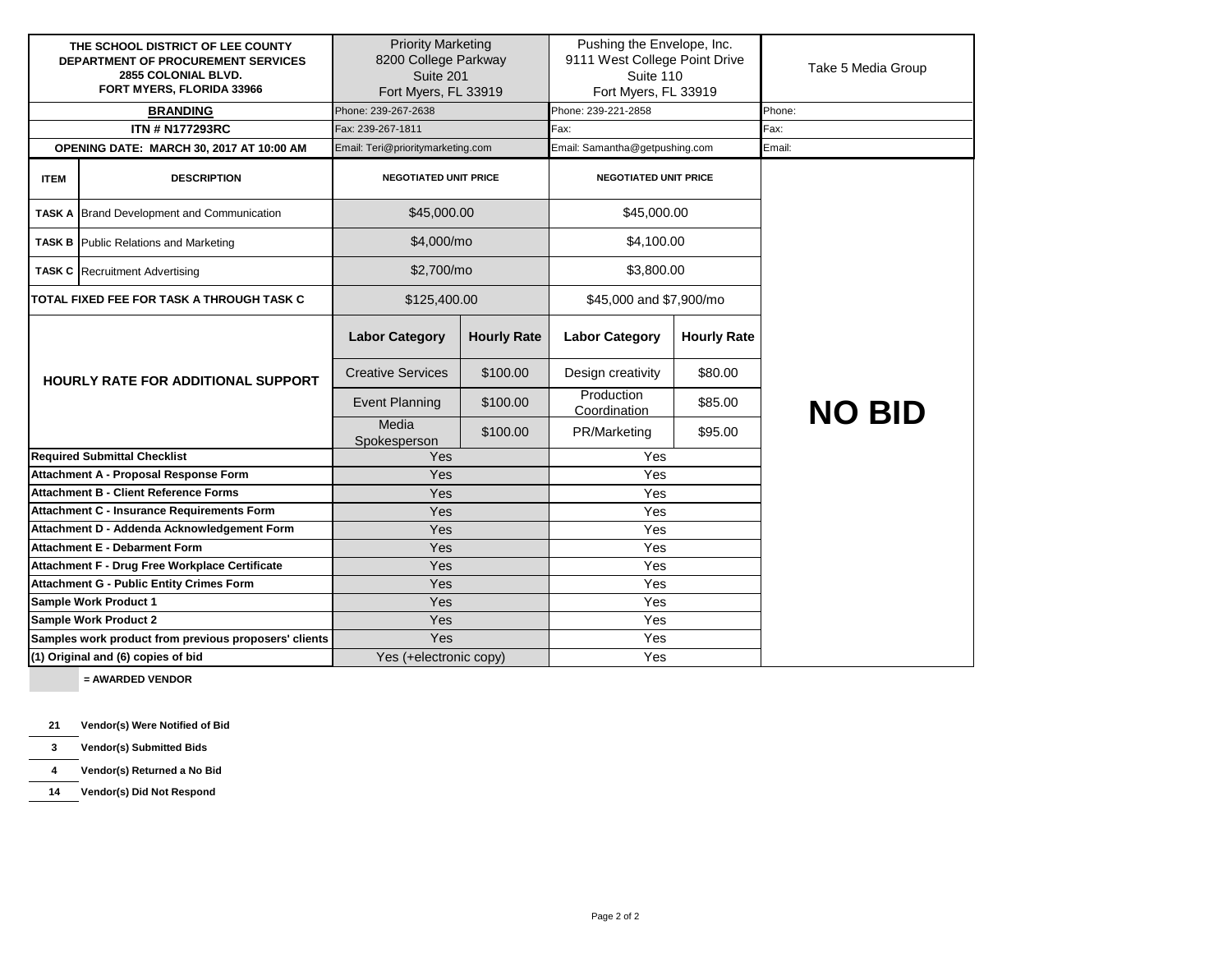| THE SCHOOL DISTRICT OF LEE COUNTY<br><b>DEPARTMENT OF PROCUREMENT SERVICES</b><br>2855 COLONIAL BLVD.<br>FORT MYERS, FLORIDA 33966 |                                                   | <b>Priority Marketing</b><br>8200 College Parkway<br>Suite 201<br>Fort Myers, FL 33919 |                          | Pushing the Envelope, Inc.<br>9111 West College Point Drive<br>Suite 110<br>Fort Myers, FL 33919 |                    |        | Take 5 Media Group |
|------------------------------------------------------------------------------------------------------------------------------------|---------------------------------------------------|----------------------------------------------------------------------------------------|--------------------------|--------------------------------------------------------------------------------------------------|--------------------|--------|--------------------|
| <b>BRANDING</b>                                                                                                                    |                                                   | Phone: 239-267-2638                                                                    |                          | Phone: 239-221-2858                                                                              |                    | Phone: |                    |
| <b>ITN # N177293RC</b>                                                                                                             |                                                   | Fax: 239-267-1811                                                                      |                          | Fax:                                                                                             |                    | Fax:   |                    |
| OPENING DATE: MARCH 30, 2017 AT 10:00 AM                                                                                           |                                                   | Email: Teri@prioritymarketing.com                                                      |                          | Email: Samantha@getpushing.com                                                                   |                    | Email: |                    |
| <b>ITEM</b>                                                                                                                        | <b>DESCRIPTION</b>                                | <b>NEGOTIATED UNIT PRICE</b>                                                           |                          | <b>NEGOTIATED UNIT PRICE</b>                                                                     |                    |        |                    |
|                                                                                                                                    | <b>TASK A Brand Development and Communication</b> | \$45,000.00                                                                            |                          | \$45,000.00                                                                                      |                    |        |                    |
|                                                                                                                                    | <b>TASK B</b> Public Relations and Marketing      |                                                                                        | \$4,000/mo<br>\$4,100.00 |                                                                                                  |                    |        |                    |
|                                                                                                                                    | <b>TASK C</b> Recruitment Advertising             | \$2,700/mo                                                                             |                          | \$3,800.00                                                                                       |                    |        |                    |
|                                                                                                                                    | TOTAL FIXED FEE FOR TASK A THROUGH TASK C         | \$125,400.00                                                                           |                          | \$45,000 and \$7,900/mo                                                                          |                    |        |                    |
|                                                                                                                                    |                                                   | <b>Labor Category</b>                                                                  | <b>Hourly Rate</b>       | <b>Labor Category</b>                                                                            | <b>Hourly Rate</b> |        |                    |
|                                                                                                                                    | <b>HOURLY RATE FOR ADDITIONAL SUPPORT</b>         | <b>Creative Services</b>                                                               | \$100.00                 | Design creativity                                                                                | \$80.00            |        |                    |
|                                                                                                                                    |                                                   | <b>Event Planning</b>                                                                  | \$100.00                 | Production<br>Coordination                                                                       | \$85.00            |        | <b>NO BID</b>      |
|                                                                                                                                    |                                                   | Media<br>Spokesperson                                                                  | \$100.00                 | PR/Marketing                                                                                     | \$95.00            |        |                    |
|                                                                                                                                    | <b>Required Submittal Checklist</b>               | Yes                                                                                    |                          | Yes                                                                                              |                    |        |                    |
|                                                                                                                                    | Attachment A - Proposal Response Form             | Yes                                                                                    |                          | Yes                                                                                              |                    |        |                    |
|                                                                                                                                    | <b>Attachment B - Client Reference Forms</b>      | Yes                                                                                    |                          | Yes                                                                                              |                    |        |                    |
|                                                                                                                                    | Attachment C - Insurance Requirements Form        | Yes                                                                                    |                          | Yes                                                                                              |                    |        |                    |
|                                                                                                                                    | Attachment D - Addenda Acknowledgement Form       | Yes                                                                                    |                          | Yes                                                                                              |                    |        |                    |
| <b>Attachment E - Debarment Form</b>                                                                                               |                                                   | Yes                                                                                    |                          | Yes                                                                                              |                    |        |                    |
| Attachment F - Drug Free Workplace Certificate                                                                                     |                                                   | Yes                                                                                    |                          | Yes                                                                                              |                    |        |                    |
| <b>Attachment G - Public Entity Crimes Form</b>                                                                                    |                                                   | Yes                                                                                    |                          | Yes                                                                                              |                    |        |                    |
| <b>Sample Work Product 1</b>                                                                                                       |                                                   | Yes                                                                                    |                          | Yes                                                                                              |                    |        |                    |
| <b>Sample Work Product 2</b>                                                                                                       |                                                   | Yes                                                                                    |                          | Yes                                                                                              |                    |        |                    |
| Samples work product from previous proposers' clients                                                                              |                                                   | Yes                                                                                    |                          | Yes                                                                                              |                    |        |                    |
| (1) Original and (6) copies of bid                                                                                                 |                                                   | Yes (+electronic copy)                                                                 |                          | Yes                                                                                              |                    |        |                    |

 **= AWARDED VENDOR**

**21 Vendor(s) Were Notified of Bid**

**3 Vendor(s) Submitted Bids**

**4 Vendor(s) Returned a No Bid**

**14 Vendor(s) Did Not Respond**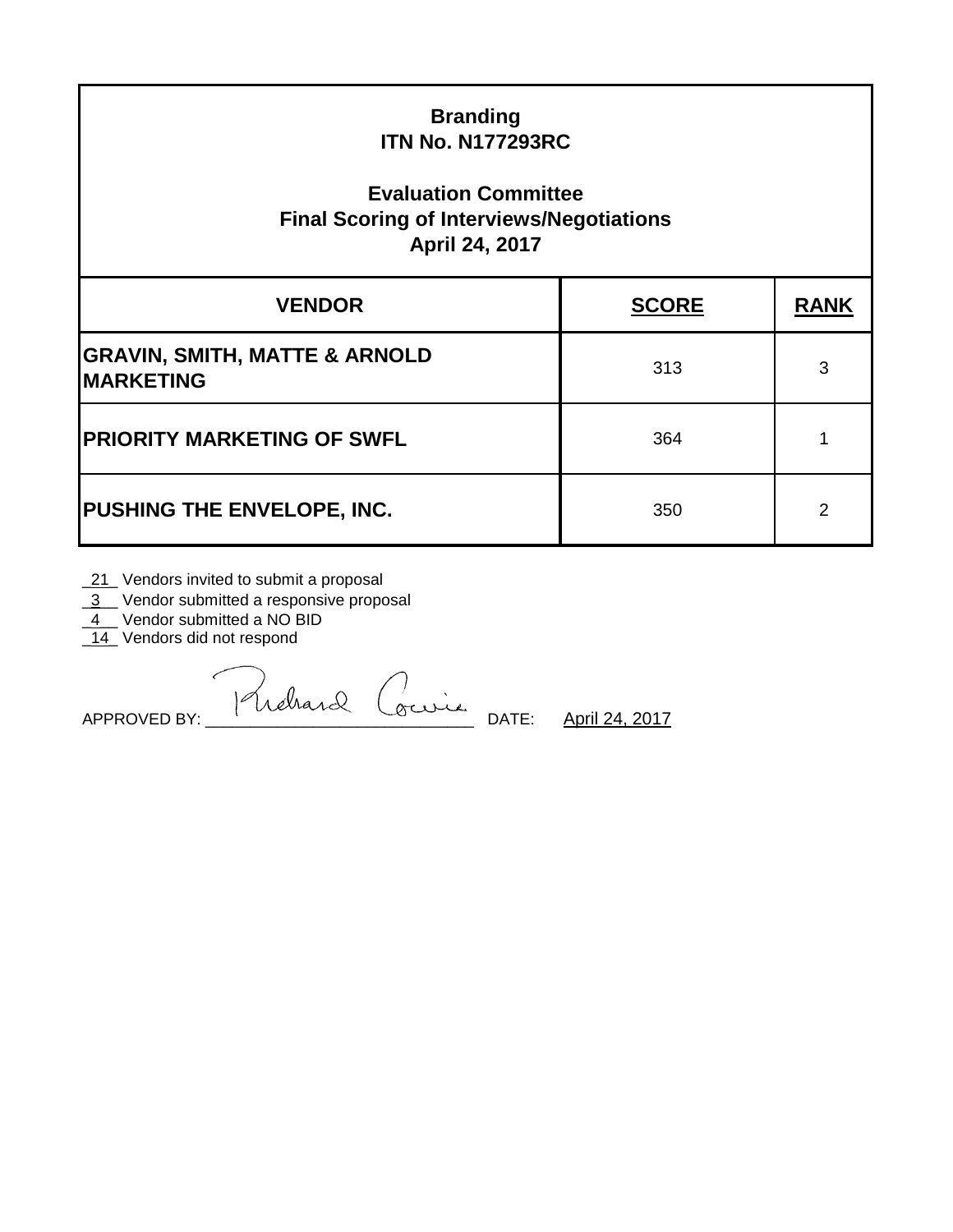| <b>Branding</b><br><b>ITN No. N177293RC</b><br><b>Evaluation Committee</b><br><b>Final Scoring of Interviews/Negotiations</b><br>April 24, 2017 |              |             |  |  |  |
|-------------------------------------------------------------------------------------------------------------------------------------------------|--------------|-------------|--|--|--|
| <b>VENDOR</b>                                                                                                                                   | <b>SCORE</b> | <b>RANK</b> |  |  |  |
| <b>GRAVIN, SMITH, MATTE &amp; ARNOLD</b><br><b>MARKETING</b>                                                                                    | 313          | 3           |  |  |  |
| <b>PRIORITY MARKETING OF SWFL</b>                                                                                                               | 364          |             |  |  |  |
| PUSHING THE ENVELOPE, INC.                                                                                                                      | 350          | 2           |  |  |  |

**\_21\_ Vendors invited to submit a proposal** 

13\_Vendor submitted a responsive proposal

 $\underline{4}$  Vendor submitted a NO BID

14\_Vendors did not respond

APPROVED BY: Phehard Courie DATE: <u>April 24, 2017</u>